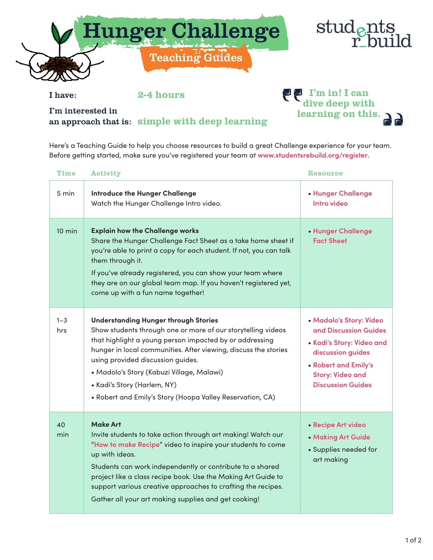



I have: 2-4 hours

I'm interested in an approach that is: simple with deep learning **PP** I'm in! I can dive deep with learning on this.

Here's a Teaching Guide to help you choose resources to build a great Challenge experience for your team. Before getting started, make sure you've registered your team at **www.studentsrebuild.org/register**.

| Time             | Activity                                                                                                                                                                                                                                                                                                                                                                                                                | <b>Resource</b>                                                                                                                                                                   |
|------------------|-------------------------------------------------------------------------------------------------------------------------------------------------------------------------------------------------------------------------------------------------------------------------------------------------------------------------------------------------------------------------------------------------------------------------|-----------------------------------------------------------------------------------------------------------------------------------------------------------------------------------|
| 5 min            | <b>Introduce the Hunger Challenge</b><br>Watch the Hunger Challenge Intro video.                                                                                                                                                                                                                                                                                                                                        | • Hunger Challenge<br>Intro video                                                                                                                                                 |
| $10 \text{ min}$ | <b>Explain how the Challenge works</b><br>Share the Hunger Challenge Fact Sheet as a take home sheet if<br>you're able to print a copy for each student. If not, you can talk<br>them through it.<br>If you've already registered, you can show your team where<br>they are on our global team map. If you haven't registered yet,<br>come up with a fun name together!                                                 | • Hunger Challenge<br><b>Fact Sheet</b>                                                                                                                                           |
| $1 - 3$<br>hrs   | <b>Understanding Hunger through Stories</b><br>Show students through one or more of our storytelling videos<br>that highlight a young person impacted by or addressing<br>hunger in local communities. After viewing, discuss the stories<br>using provided discussion guides.<br>• Madolo's Story (Kabuzi Village, Malawi)<br>• Kadi's Story (Harlem, NY)<br>• Robert and Emily's Story (Hoopa Valley Reservation, CA) | • Madalo's Story: Video<br>and Discussion Guides<br>• Kadi's Story: Video and<br>discussion guides<br>• Robert and Emily's<br><b>Story: Video and</b><br><b>Discussion Guides</b> |
| 40<br>min        | <b>Make Art</b><br>Invite students to take action through art making! Watch our<br>"How to make Recipe" video to inspire your students to come<br>up with ideas.<br>Students can work independently or contribute to a shared<br>project like a class recipe book. Use the Making Art Guide to<br>support various creative approaches to crafting the recipes.<br>Gather all your art making supplies and get cooking!  | • Recipe Art video<br>• Making Art Guide<br>• Supplies needed for<br>art making                                                                                                   |